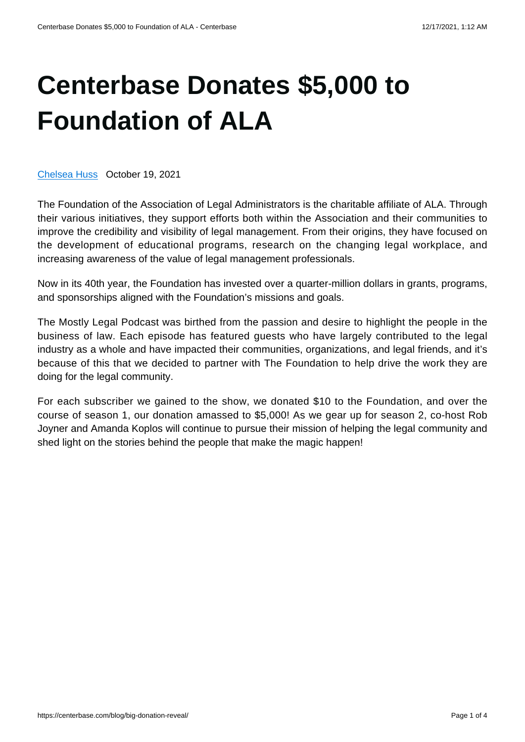## **[Centerbase Donates \\$5,000 to](https://centerbase.com/blog/big-donation-reveal/) [Foundation of ALA](https://centerbase.com/blog/big-donation-reveal/)**

[Chelsea Huss](https://centerbase.com/blog/author/chelsea-huss/) October 19, 2021

The Foundation of the Association of Legal Administrators is the charitable affiliate of ALA. Through their various initiatives, they support efforts both within the Association and their communities to improve the credibility and visibility of legal management. From their origins, they have focused on the development of educational programs, research on the changing legal workplace, and increasing awareness of the value of legal management professionals.

Now in its 40th year, the Foundation has invested over a quarter-million dollars in grants, programs, and sponsorships aligned with the Foundation's missions and goals.

The Mostly Legal Podcast was birthed from the passion and desire to highlight the people in the business of law. Each episode has featured guests who have largely contributed to the legal industry as a whole and have impacted their communities, organizations, and legal friends, and it's because of this that we decided to partner with The Foundation to help drive the work they are doing for the legal community.

For each subscriber we gained to the show, we donated \$10 to the Foundation, and over the course of season 1, our donation amassed to \$5,000! As we gear up for season 2, co-host Rob Joyner and Amanda Koplos will continue to pursue their mission of helping the legal community and shed light on the stories behind the people that make the magic happen!